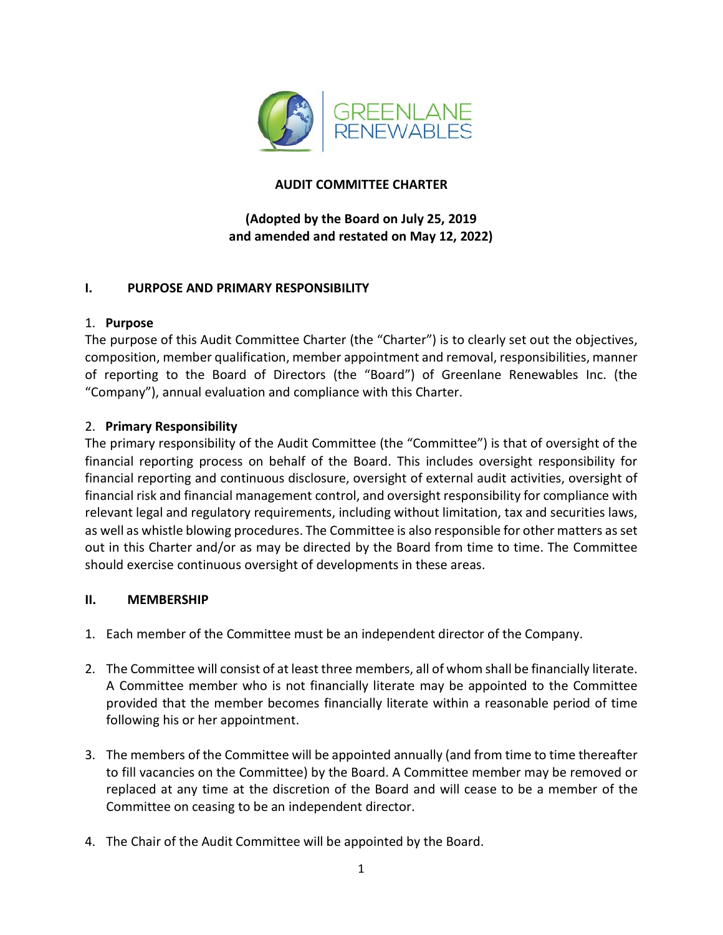

## **AUDIT COMMITTEE CHARTER**

# **(Adopted by the Board on July 25, 2019 and amended and restated on May 12, 2022)**

#### **I. PURPOSE AND PRIMARY RESPONSIBILITY**

## 1. **Purpose**

The purpose of this Audit Committee Charter (the "Charter") is to clearly set out the objectives, composition, member qualification, member appointment and removal, responsibilities, manner of reporting to the Board of Directors (the "Board") of Greenlane Renewables Inc. (the "Company"), annual evaluation and compliance with this Charter.

## 2. **Primary Responsibility**

The primary responsibility of the Audit Committee (the "Committee") is that of oversight of the financial reporting process on behalf of the Board. This includes oversight responsibility for financial reporting and continuous disclosure, oversight of external audit activities, oversight of financial risk and financial management control, and oversight responsibility for compliance with relevant legal and regulatory requirements, including without limitation, tax and securities laws, as well as whistle blowing procedures. The Committee is also responsible for other matters as set out in this Charter and/or as may be directed by the Board from time to time. The Committee should exercise continuous oversight of developments in these areas.

#### **II. MEMBERSHIP**

- 1. Each member of the Committee must be an independent director of the Company.
- 2. The Committee will consist of at least three members, all of whom shall be financially literate. A Committee member who is not financially literate may be appointed to the Committee provided that the member becomes financially literate within a reasonable period of time following his or her appointment.
- 3. The members of the Committee will be appointed annually (and from time to time thereafter to fill vacancies on the Committee) by the Board. A Committee member may be removed or replaced at any time at the discretion of the Board and will cease to be a member of the Committee on ceasing to be an independent director.
- 4. The Chair of the Audit Committee will be appointed by the Board.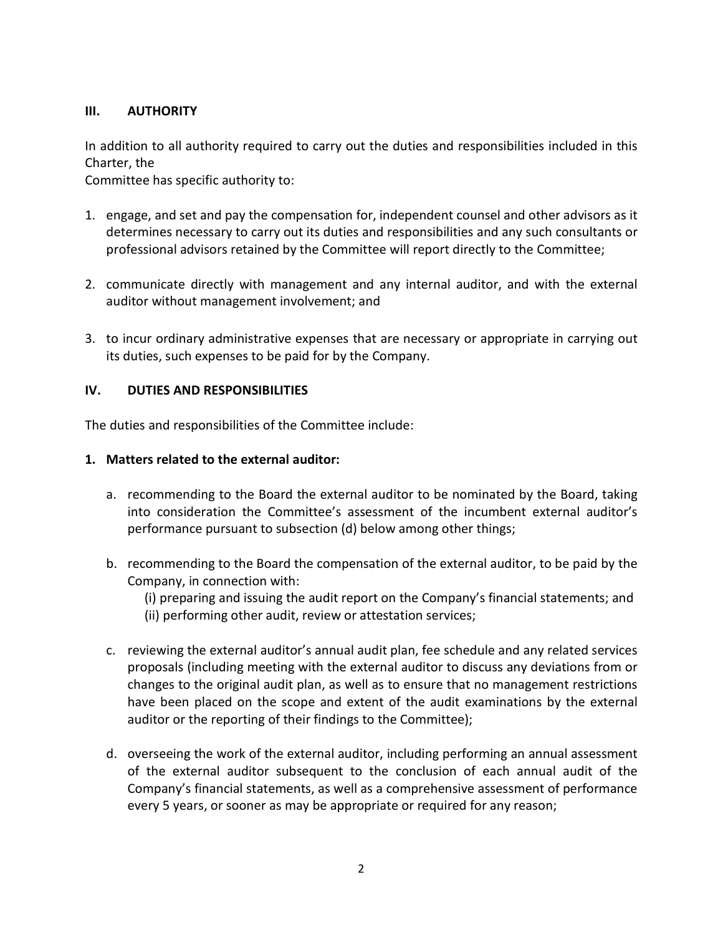## **III. AUTHORITY**

In addition to all authority required to carry out the duties and responsibilities included in this Charter, the

Committee has specific authority to:

- 1. engage, and set and pay the compensation for, independent counsel and other advisors as it determines necessary to carry out its duties and responsibilities and any such consultants or professional advisors retained by the Committee will report directly to the Committee;
- 2. communicate directly with management and any internal auditor, and with the external auditor without management involvement; and
- 3. to incur ordinary administrative expenses that are necessary or appropriate in carrying out its duties, such expenses to be paid for by the Company.

## **IV. DUTIES AND RESPONSIBILITIES**

The duties and responsibilities of the Committee include:

#### **1. Matters related to the external auditor:**

- a. recommending to the Board the external auditor to be nominated by the Board, taking into consideration the Committee's assessment of the incumbent external auditor's performance pursuant to subsection (d) below among other things;
- b. recommending to the Board the compensation of the external auditor, to be paid by the Company, in connection with:
	- (i) preparing and issuing the audit report on the Company's financial statements; and (ii) performing other audit, review or attestation services;
- c. reviewing the external auditor's annual audit plan, fee schedule and any related services proposals (including meeting with the external auditor to discuss any deviations from or changes to the original audit plan, as well as to ensure that no management restrictions have been placed on the scope and extent of the audit examinations by the external auditor or the reporting of their findings to the Committee);
- d. overseeing the work of the external auditor, including performing an annual assessment of the external auditor subsequent to the conclusion of each annual audit of the Company's financial statements, as well as a comprehensive assessment of performance every 5 years, or sooner as may be appropriate or required for any reason;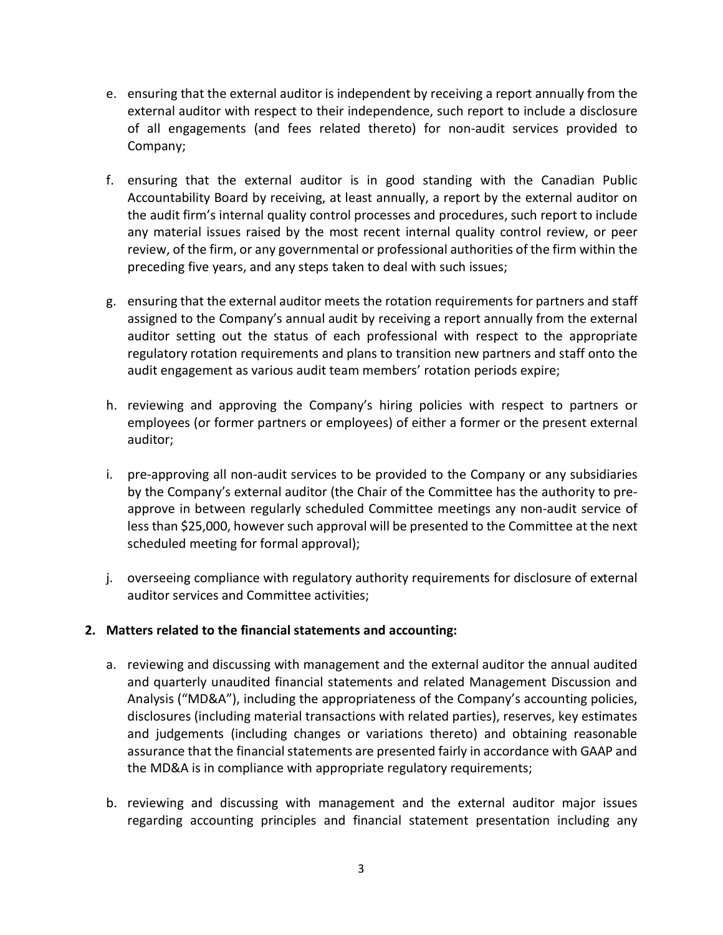- e. ensuring that the external auditor is independent by receiving a report annually from the external auditor with respect to their independence, such report to include a disclosure of all engagements (and fees related thereto) for non-audit services provided to Company;
- f. ensuring that the external auditor is in good standing with the Canadian Public Accountability Board by receiving, at least annually, a report by the external auditor on the audit firm's internal quality control processes and procedures, such report to include any material issues raised by the most recent internal quality control review, or peer review, of the firm, or any governmental or professional authorities of the firm within the preceding five years, and any steps taken to deal with such issues;
- g. ensuring that the external auditor meets the rotation requirements for partners and staff assigned to the Company's annual audit by receiving a report annually from the external auditor setting out the status of each professional with respect to the appropriate regulatory rotation requirements and plans to transition new partners and staff onto the audit engagement as various audit team members' rotation periods expire;
- h. reviewing and approving the Company's hiring policies with respect to partners or employees (or former partners or employees) of either a former or the present external auditor;
- i. pre-approving all non-audit services to be provided to the Company or any subsidiaries by the Company's external auditor (the Chair of the Committee has the authority to preapprove in between regularly scheduled Committee meetings any non-audit service of less than \$25,000, however such approval will be presented to the Committee at the next scheduled meeting for formal approval);
- j. overseeing compliance with regulatory authority requirements for disclosure of external auditor services and Committee activities;

## **2. Matters related to the financial statements and accounting:**

- a. reviewing and discussing with management and the external auditor the annual audited and quarterly unaudited financial statements and related Management Discussion and Analysis ("MD&A"), including the appropriateness of the Company's accounting policies, disclosures (including material transactions with related parties), reserves, key estimates and judgements (including changes or variations thereto) and obtaining reasonable assurance that the financial statements are presented fairly in accordance with GAAP and the MD&A is in compliance with appropriate regulatory requirements;
- b. reviewing and discussing with management and the external auditor major issues regarding accounting principles and financial statement presentation including any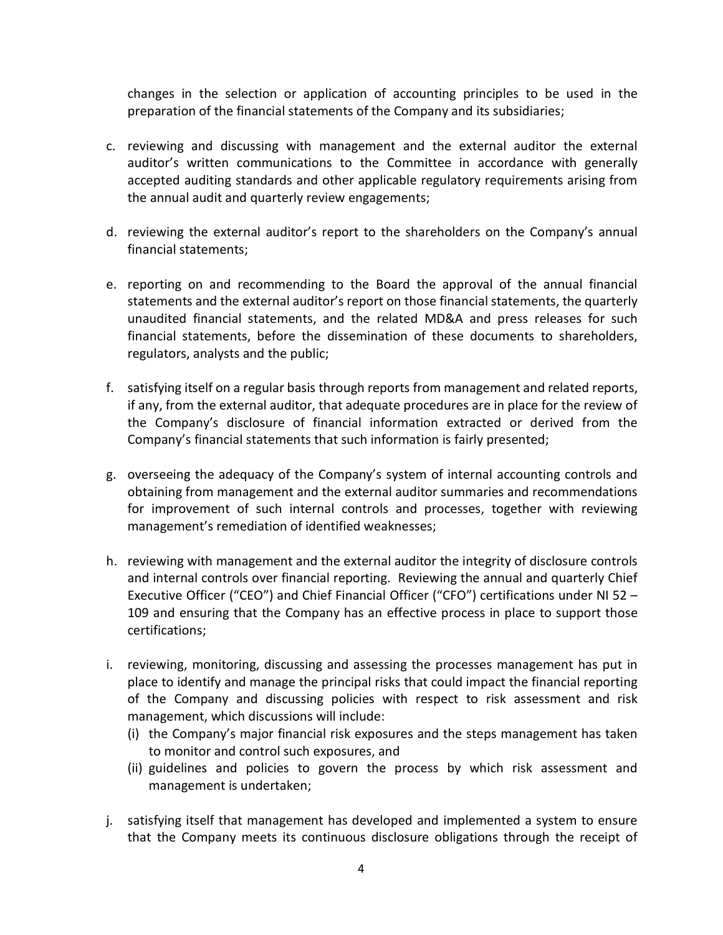changes in the selection or application of accounting principles to be used in the preparation of the financial statements of the Company and its subsidiaries;

- c. reviewing and discussing with management and the external auditor the external auditor's written communications to the Committee in accordance with generally accepted auditing standards and other applicable regulatory requirements arising from the annual audit and quarterly review engagements;
- d. reviewing the external auditor's report to the shareholders on the Company's annual financial statements;
- e. reporting on and recommending to the Board the approval of the annual financial statements and the external auditor's report on those financial statements, the quarterly unaudited financial statements, and the related MD&A and press releases for such financial statements, before the dissemination of these documents to shareholders, regulators, analysts and the public;
- f. satisfying itself on a regular basis through reports from management and related reports, if any, from the external auditor, that adequate procedures are in place for the review of the Company's disclosure of financial information extracted or derived from the Company's financial statements that such information is fairly presented;
- g. overseeing the adequacy of the Company's system of internal accounting controls and obtaining from management and the external auditor summaries and recommendations for improvement of such internal controls and processes, together with reviewing management's remediation of identified weaknesses;
- h. reviewing with management and the external auditor the integrity of disclosure controls and internal controls over financial reporting. Reviewing the annual and quarterly Chief Executive Officer ("CEO") and Chief Financial Officer ("CFO") certifications under NI 52 – 109 and ensuring that the Company has an effective process in place to support those certifications;
- i. reviewing, monitoring, discussing and assessing the processes management has put in place to identify and manage the principal risks that could impact the financial reporting of the Company and discussing policies with respect to risk assessment and risk management, which discussions will include:
	- (i) the Company's major financial risk exposures and the steps management has taken to monitor and control such exposures, and
	- (ii) guidelines and policies to govern the process by which risk assessment and management is undertaken;
- j. satisfying itself that management has developed and implemented a system to ensure that the Company meets its continuous disclosure obligations through the receipt of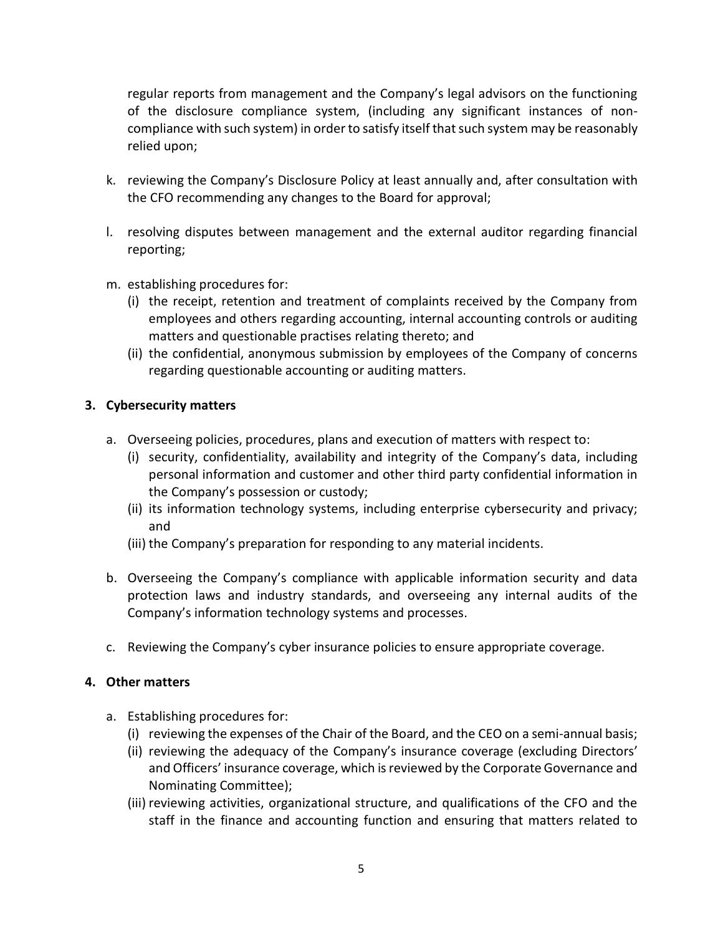regular reports from management and the Company's legal advisors on the functioning of the disclosure compliance system, (including any significant instances of noncompliance with such system) in order to satisfy itself that such system may be reasonably relied upon;

- k. reviewing the Company's Disclosure Policy at least annually and, after consultation with the CFO recommending any changes to the Board for approval;
- l. resolving disputes between management and the external auditor regarding financial reporting;
- m. establishing procedures for:
	- (i) the receipt, retention and treatment of complaints received by the Company from employees and others regarding accounting, internal accounting controls or auditing matters and questionable practises relating thereto; and
	- (ii) the confidential, anonymous submission by employees of the Company of concerns regarding questionable accounting or auditing matters.

## **3. Cybersecurity matters**

- a. Overseeing policies, procedures, plans and execution of matters with respect to:
	- (i) security, confidentiality, availability and integrity of the Company's data, including personal information and customer and other third party confidential information in the Company's possession or custody;
	- (ii) its information technology systems, including enterprise cybersecurity and privacy; and
	- (iii) the Company's preparation for responding to any material incidents.
- b. Overseeing the Company's compliance with applicable information security and data protection laws and industry standards, and overseeing any internal audits of the Company's information technology systems and processes.
- c. Reviewing the Company's cyber insurance policies to ensure appropriate coverage.

#### **4. Other matters**

- a. Establishing procedures for:
	- (i) reviewing the expenses of the Chair of the Board, and the CEO on a semi-annual basis;
	- (ii) reviewing the adequacy of the Company's insurance coverage (excluding Directors' and Officers' insurance coverage, which is reviewed by the Corporate Governance and Nominating Committee);
	- (iii) reviewing activities, organizational structure, and qualifications of the CFO and the staff in the finance and accounting function and ensuring that matters related to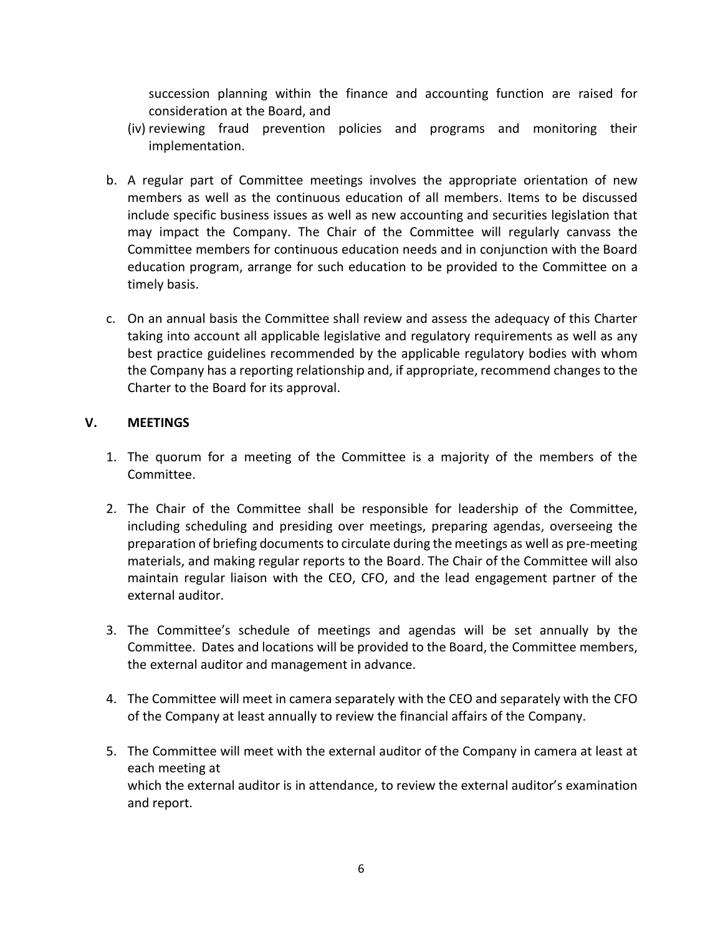succession planning within the finance and accounting function are raised for consideration at the Board, and

- (iv) reviewing fraud prevention policies and programs and monitoring their implementation.
- b. A regular part of Committee meetings involves the appropriate orientation of new members as well as the continuous education of all members. Items to be discussed include specific business issues as well as new accounting and securities legislation that may impact the Company. The Chair of the Committee will regularly canvass the Committee members for continuous education needs and in conjunction with the Board education program, arrange for such education to be provided to the Committee on a timely basis.
- c. On an annual basis the Committee shall review and assess the adequacy of this Charter taking into account all applicable legislative and regulatory requirements as well as any best practice guidelines recommended by the applicable regulatory bodies with whom the Company has a reporting relationship and, if appropriate, recommend changes to the Charter to the Board for its approval.

## **V. MEETINGS**

- 1. The quorum for a meeting of the Committee is a majority of the members of the Committee.
- 2. The Chair of the Committee shall be responsible for leadership of the Committee, including scheduling and presiding over meetings, preparing agendas, overseeing the preparation of briefing documents to circulate during the meetings as well as pre-meeting materials, and making regular reports to the Board. The Chair of the Committee will also maintain regular liaison with the CEO, CFO, and the lead engagement partner of the external auditor.
- 3. The Committee's schedule of meetings and agendas will be set annually by the Committee. Dates and locations will be provided to the Board, the Committee members, the external auditor and management in advance.
- 4. The Committee will meet in camera separately with the CEO and separately with the CFO of the Company at least annually to review the financial affairs of the Company.
- 5. The Committee will meet with the external auditor of the Company in camera at least at each meeting at which the external auditor is in attendance, to review the external auditor's examination and report.